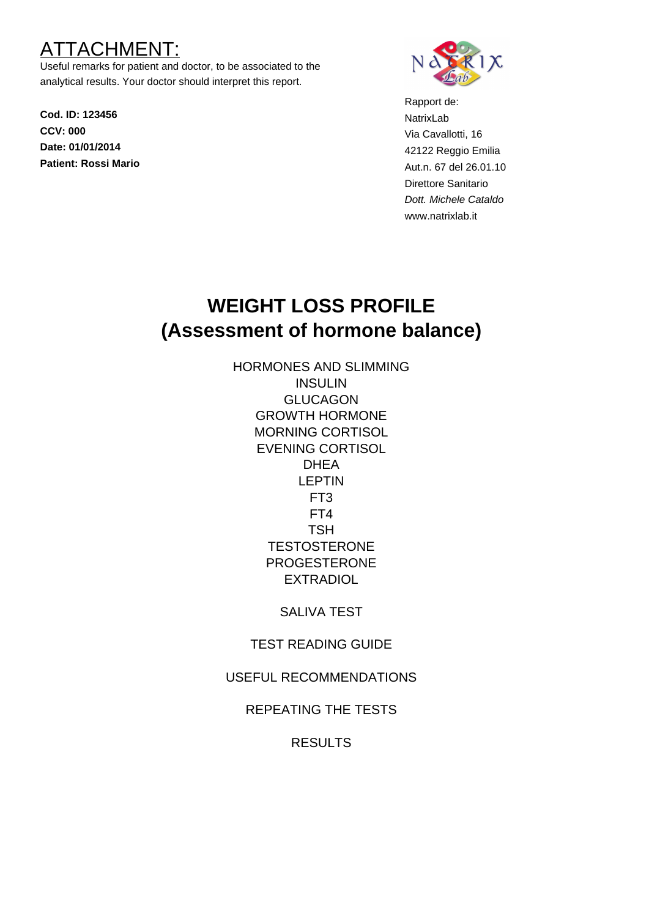# $\mathsf{T}\mathsf{A}\mathsf{C}\mathsf{H}\mathsf{M}\mathsf{F}\mathsf{N}\mathsf{T}^1$

Useful remarks for patient and doctor, to be associated to the analytical results. Your doctor should interpret this report.

**Cod. ID: 123456 CCV: 000 Date: 01/01/2014 Patient: Rossi Mario**



Rapport de: NatrixLab Via Cavallotti, 16 42122 Reggio Emilia Aut.n. 67 del 26.01.10 Direttore Sanitario Dott. Michele Cataldo www.natrixlab.it

# **WEIGHT LOSS PROFILE (Assessment of hormone balance)**

HORMONES AND SLIMMING INSULIN **GLUCAGON** GROWTH HORMONE MORNING CORTISOL EVENING CORTISOL **DHEA** LEPTIN FT3 FT4 **TSH TESTOSTERONE** PROGESTERONE EXTRADIOL

SALIVA TEST

TEST READING GUIDE

USEFUL RECOMMENDATIONS

REPEATING THE TESTS

RESULTS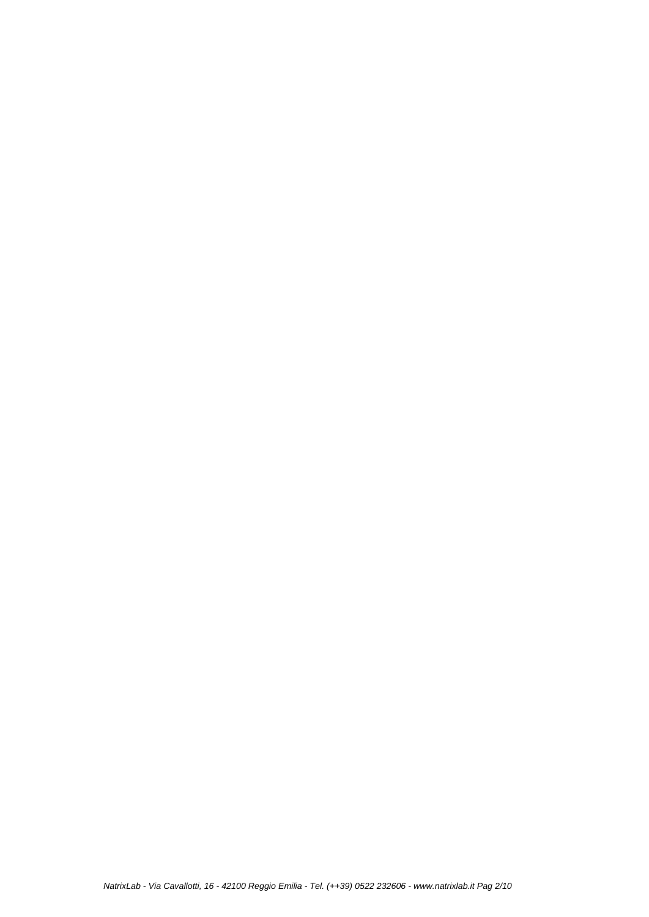NatrixLab - Via Cavallotti, 16 - 42100 Reggio Emilia - Tel. (++39) 0522 232606 - www.natrixlab.it Pag 2/10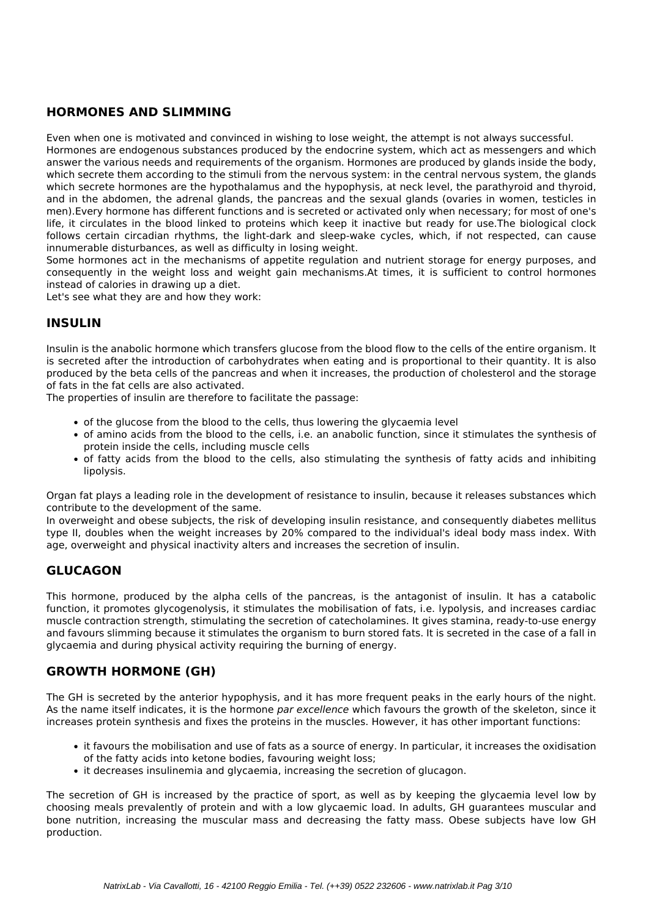# **HORMONES AND SLIMMING**

Even when one is motivated and convinced in wishing to lose weight, the attempt is not always successful. Hormones are endogenous substances produced by the endocrine system, which act as messengers and which answer the various needs and requirements of the organism. Hormones are produced by glands inside the body, which secrete them according to the stimuli from the nervous system: in the central nervous system, the glands which secrete hormones are the hypothalamus and the hypophysis, at neck level, the parathyroid and thyroid, and in the abdomen, the adrenal glands, the pancreas and the sexual glands (ovaries in women, testicles in men).Every hormone has different functions and is secreted or activated only when necessary; for most of one's life, it circulates in the blood linked to proteins which keep it inactive but ready for use.The biological clock follows certain circadian rhythms, the light-dark and sleep-wake cycles, which, if not respected, can cause innumerable disturbances, as well as difficulty in losing weight.

Some hormones act in the mechanisms of appetite regulation and nutrient storage for energy purposes, and consequently in the weight loss and weight gain mechanisms.At times, it is sufficient to control hormones instead of calories in drawing up a diet.

Let's see what they are and how they work:

# **INSULIN**

Insulin is the anabolic hormone which transfers glucose from the blood flow to the cells of the entire organism. It is secreted after the introduction of carbohydrates when eating and is proportional to their quantity. It is also produced by the beta cells of the pancreas and when it increases, the production of cholesterol and the storage of fats in the fat cells are also activated.

The properties of insulin are therefore to facilitate the passage:

- of the glucose from the blood to the cells, thus lowering the glycaemia level
- of amino acids from the blood to the cells, i.e. an anabolic function, since it stimulates the synthesis of protein inside the cells, including muscle cells
- of fatty acids from the blood to the cells, also stimulating the synthesis of fatty acids and inhibiting lipolysis.

Organ fat plays a leading role in the development of resistance to insulin, because it releases substances which contribute to the development of the same.

In overweight and obese subjects, the risk of developing insulin resistance, and consequently diabetes mellitus type II, doubles when the weight increases by 20% compared to the individual's ideal body mass index. With age, overweight and physical inactivity alters and increases the secretion of insulin.

# **GLUCAGON**

This hormone, produced by the alpha cells of the pancreas, is the antagonist of insulin. It has a catabolic function, it promotes glycogenolysis, it stimulates the mobilisation of fats, i.e. lypolysis, and increases cardiac muscle contraction strength, stimulating the secretion of catecholamines. It gives stamina, ready-to-use energy and favours slimming because it stimulates the organism to burn stored fats. It is secreted in the case of a fall in glycaemia and during physical activity requiring the burning of energy.

# **GROWTH HORMONE (GH)**

The GH is secreted by the anterior hypophysis, and it has more frequent peaks in the early hours of the night. As the name itself indicates, it is the hormone *par excellence* which favours the growth of the skeleton, since it increases protein synthesis and fixes the proteins in the muscles. However, it has other important functions:

- it favours the mobilisation and use of fats as a source of energy. In particular, it increases the oxidisation of the fatty acids into ketone bodies, favouring weight loss;
- it decreases insulinemia and glycaemia, increasing the secretion of glucagon.

The secretion of GH is increased by the practice of sport, as well as by keeping the glycaemia level low by choosing meals prevalently of protein and with a low glycaemic load. In adults, GH guarantees muscular and bone nutrition, increasing the muscular mass and decreasing the fatty mass. Obese subjects have low GH production.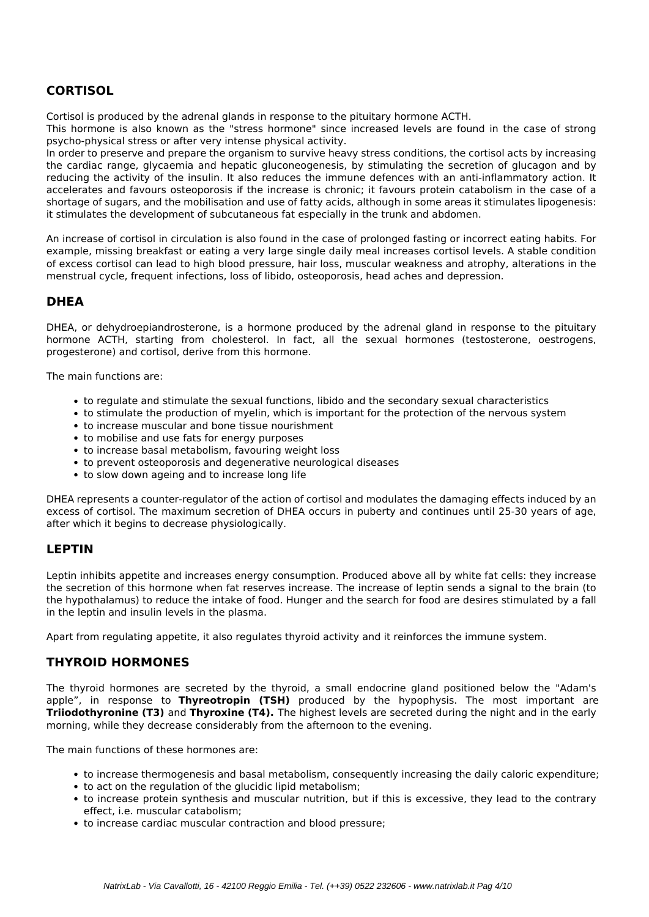# **CORTISOL**

Cortisol is produced by the adrenal glands in response to the pituitary hormone ACTH.

This hormone is also known as the "stress hormone" since increased levels are found in the case of strong psycho-physical stress or after very intense physical activity.

In order to preserve and prepare the organism to survive heavy stress conditions, the cortisol acts by increasing the cardiac range, glycaemia and hepatic gluconeogenesis, by stimulating the secretion of glucagon and by reducing the activity of the insulin. It also reduces the immune defences with an anti-inflammatory action. It accelerates and favours osteoporosis if the increase is chronic; it favours protein catabolism in the case of a shortage of sugars, and the mobilisation and use of fatty acids, although in some areas it stimulates lipogenesis: it stimulates the development of subcutaneous fat especially in the trunk and abdomen.

An increase of cortisol in circulation is also found in the case of prolonged fasting or incorrect eating habits. For example, missing breakfast or eating a very large single daily meal increases cortisol levels. A stable condition of excess cortisol can lead to high blood pressure, hair loss, muscular weakness and atrophy, alterations in the menstrual cycle, frequent infections, loss of libido, osteoporosis, head aches and depression.

#### **DHEA**

DHEA, or dehydroepiandrosterone, is a hormone produced by the adrenal gland in response to the pituitary hormone ACTH, starting from cholesterol. In fact, all the sexual hormones (testosterone, oestrogens, progesterone) and cortisol, derive from this hormone.

The main functions are:

- to regulate and stimulate the sexual functions, libido and the secondary sexual characteristics
- to stimulate the production of myelin, which is important for the protection of the nervous system
- to increase muscular and bone tissue nourishment
- to mobilise and use fats for energy purposes
- to increase basal metabolism, favouring weight loss
- to prevent osteoporosis and degenerative neurological diseases
- to slow down ageing and to increase long life

DHEA represents a counter-regulator of the action of cortisol and modulates the damaging effects induced by an excess of cortisol. The maximum secretion of DHEA occurs in puberty and continues until 25-30 years of age, after which it begins to decrease physiologically.

#### **LEPTIN**

Leptin inhibits appetite and increases energy consumption. Produced above all by white fat cells: they increase the secretion of this hormone when fat reserves increase. The increase of leptin sends a signal to the brain (to the hypothalamus) to reduce the intake of food. Hunger and the search for food are desires stimulated by a fall in the leptin and insulin levels in the plasma.

Apart from regulating appetite, it also regulates thyroid activity and it reinforces the immune system.

# **THYROID HORMONES**

The thyroid hormones are secreted by the thyroid, a small endocrine gland positioned below the "Adam's apple", in response to **Thyreotropin (TSH)** produced by the hypophysis. The most important are **Triiodothyronine (T3)** and **Thyroxine (T4).** The highest levels are secreted during the night and in the early morning, while they decrease considerably from the afternoon to the evening.

The main functions of these hormones are:

- to increase thermogenesis and basal metabolism, consequently increasing the daily caloric expenditure;
- to act on the regulation of the glucidic lipid metabolism;
- to increase protein synthesis and muscular nutrition, but if this is excessive, they lead to the contrary effect, i.e. muscular catabolism;
- to increase cardiac muscular contraction and blood pressure;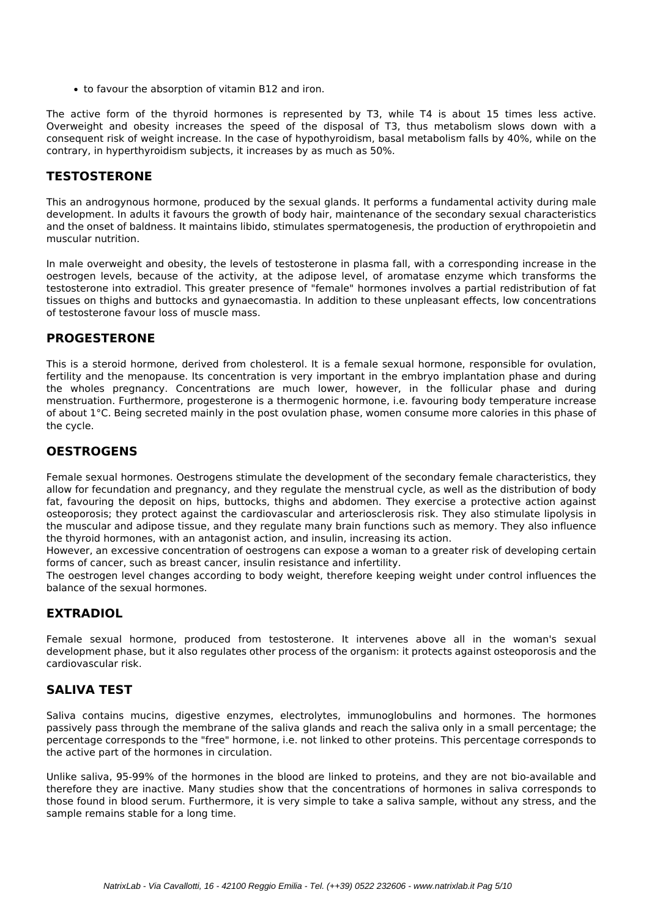• to favour the absorption of vitamin B12 and iron.

The active form of the thyroid hormones is represented by T3, while T4 is about 15 times less active. Overweight and obesity increases the speed of the disposal of T3, thus metabolism slows down with a consequent risk of weight increase. In the case of hypothyroidism, basal metabolism falls by 40%, while on the contrary, in hyperthyroidism subjects, it increases by as much as 50%.

#### **TESTOSTERONE**

This an androgynous hormone, produced by the sexual glands. It performs a fundamental activity during male development. In adults it favours the growth of body hair, maintenance of the secondary sexual characteristics and the onset of baldness. It maintains libido, stimulates spermatogenesis, the production of erythropoietin and muscular nutrition.

In male overweight and obesity, the levels of testosterone in plasma fall, with a corresponding increase in the oestrogen levels, because of the activity, at the adipose level, of aromatase enzyme which transforms the testosterone into extradiol. This greater presence of "female" hormones involves a partial redistribution of fat tissues on thighs and buttocks and gynaecomastia. In addition to these unpleasant effects, low concentrations of testosterone favour loss of muscle mass.

#### **PROGESTERONE**

This is a steroid hormone, derived from cholesterol. It is a female sexual hormone, responsible for ovulation, fertility and the menopause. Its concentration is very important in the embryo implantation phase and during the wholes pregnancy. Concentrations are much lower, however, in the follicular phase and during menstruation. Furthermore, progesterone is a thermogenic hormone, i.e. favouring body temperature increase of about 1°C. Being secreted mainly in the post ovulation phase, women consume more calories in this phase of the cycle.

# **OESTROGENS**

Female sexual hormones. Oestrogens stimulate the development of the secondary female characteristics, they allow for fecundation and pregnancy, and they regulate the menstrual cycle, as well as the distribution of body fat, favouring the deposit on hips, buttocks, thighs and abdomen. They exercise a protective action against osteoporosis; they protect against the cardiovascular and arteriosclerosis risk. They also stimulate lipolysis in the muscular and adipose tissue, and they regulate many brain functions such as memory. They also influence the thyroid hormones, with an antagonist action, and insulin, increasing its action.

However, an excessive concentration of oestrogens can expose a woman to a greater risk of developing certain forms of cancer, such as breast cancer, insulin resistance and infertility.

The oestrogen level changes according to body weight, therefore keeping weight under control influences the balance of the sexual hormones.

# **EXTRADIOL**

Female sexual hormone, produced from testosterone. It intervenes above all in the woman's sexual development phase, but it also regulates other process of the organism: it protects against osteoporosis and the cardiovascular risk.

#### **SALIVA TEST**

Saliva contains mucins, digestive enzymes, electrolytes, immunoglobulins and hormones. The hormones passively pass through the membrane of the saliva glands and reach the saliva only in a small percentage; the percentage corresponds to the "free" hormone, i.e. not linked to other proteins. This percentage corresponds to the active part of the hormones in circulation.

Unlike saliva, 95-99% of the hormones in the blood are linked to proteins, and they are not bio-available and therefore they are inactive. Many studies show that the concentrations of hormones in saliva corresponds to those found in blood serum. Furthermore, it is very simple to take a saliva sample, without any stress, and the sample remains stable for a long time.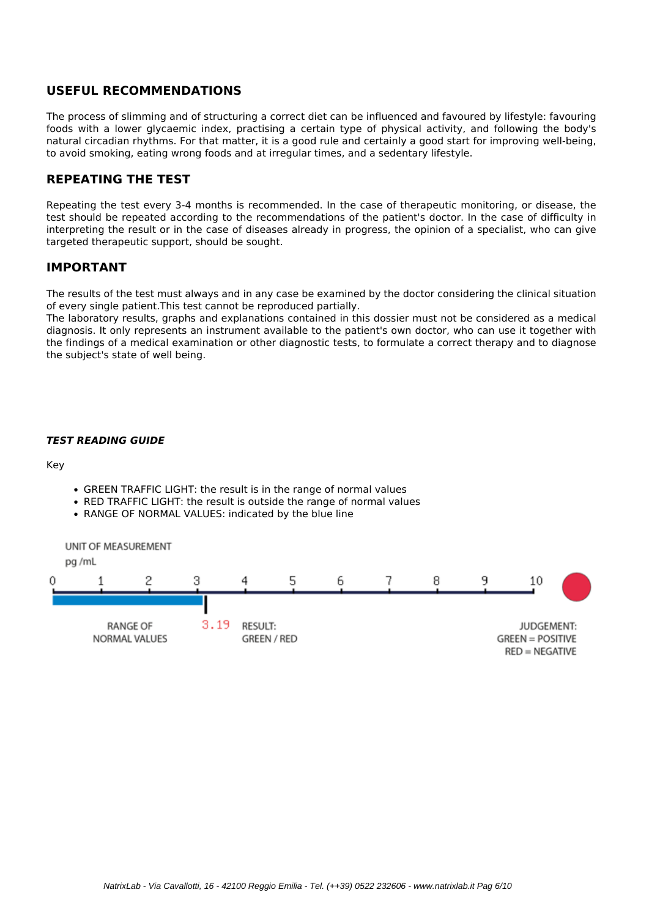### **USEFUL RECOMMENDATIONS**

The process of slimming and of structuring a correct diet can be influenced and favoured by lifestyle: favouring foods with a lower glycaemic index, practising a certain type of physical activity, and following the body's natural circadian rhythms. For that matter, it is a good rule and certainly a good start for improving well-being, to avoid smoking, eating wrong foods and at irregular times, and a sedentary lifestyle.

# **REPEATING THE TEST**

Repeating the test every 3-4 months is recommended. In the case of therapeutic monitoring, or disease, the test should be repeated according to the recommendations of the patient's doctor. In the case of difficulty in interpreting the result or in the case of diseases already in progress, the opinion of a specialist, who can give targeted therapeutic support, should be sought.

# **IMPORTANT**

The results of the test must always and in any case be examined by the doctor considering the clinical situation of every single patient.This test cannot be reproduced partially.

The laboratory results, graphs and explanations contained in this dossier must not be considered as a medical diagnosis. It only represents an instrument available to the patient's own doctor, who can use it together with the findings of a medical examination or other diagnostic tests, to formulate a correct therapy and to diagnose the subject's state of well being.

#### *TEST READING GUIDE*

Key

- GREEN TRAFFIC LIGHT: the result is in the range of normal values
- RED TRAFFIC LIGHT: the result is outside the range of normal values
- RANGE OF NORMAL VALUES: indicated by the blue line

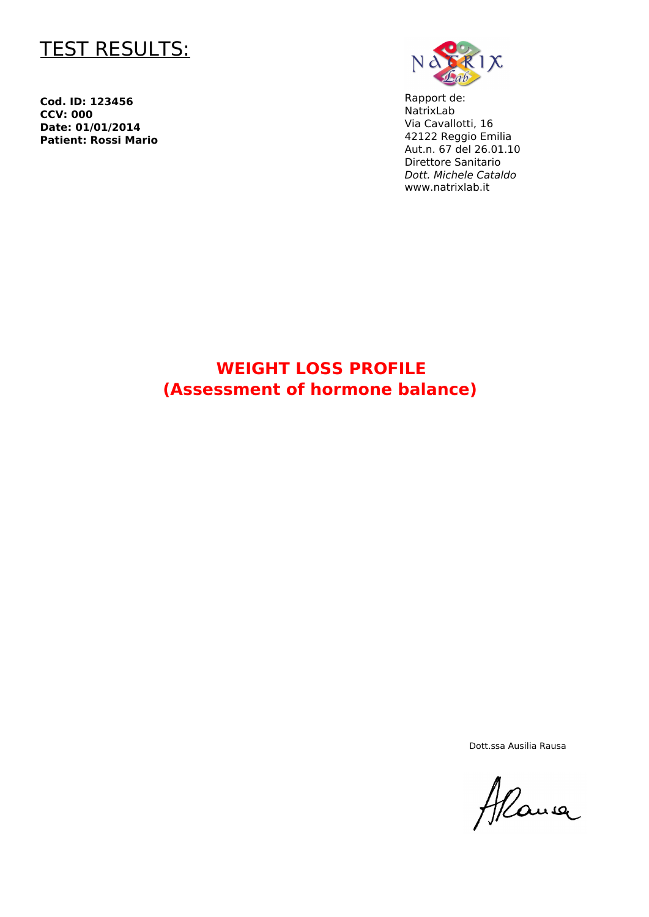

**Cod. ID: 123456 CCV: 000 Date: 01/01/2014 Patient: Rossi Mario**



Rapport de: NatrixLab Via Cavallotti, 16 42122 Reggio Emilia Aut.n. 67 del 26.01.10 Direttore Sanitario *Dott. Michele Cataldo* www.natrixlab.it

**WEIGHT LOSS PROFILE (Assessment of hormone balance)**

Dott.ssa Ausilia Rausa

Alane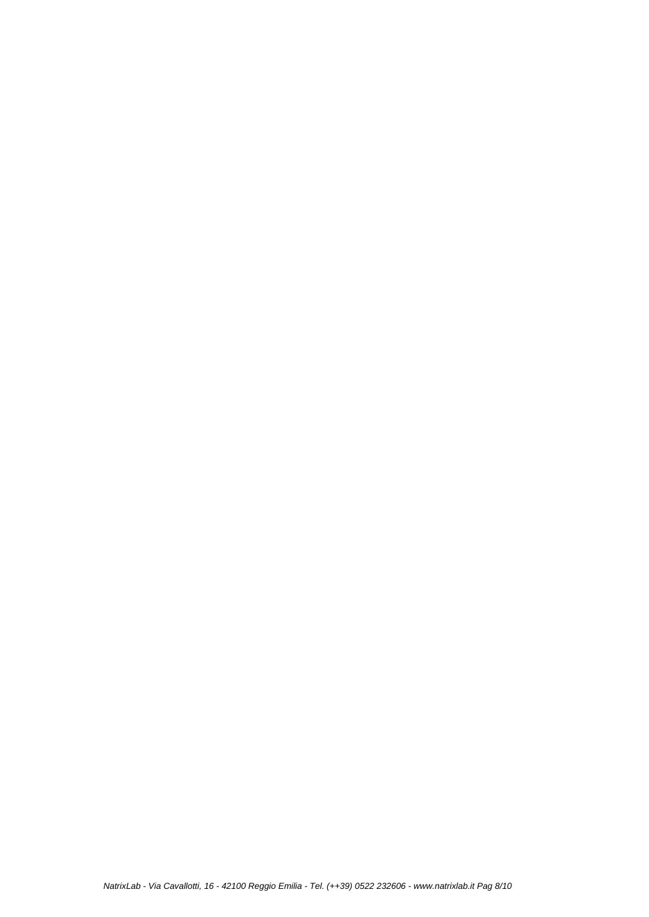NatrixLab - Via Cavallotti, 16 - 42100 Reggio Emilia - Tel. (++39) 0522 232606 - www.natrixlab.it Pag 8/10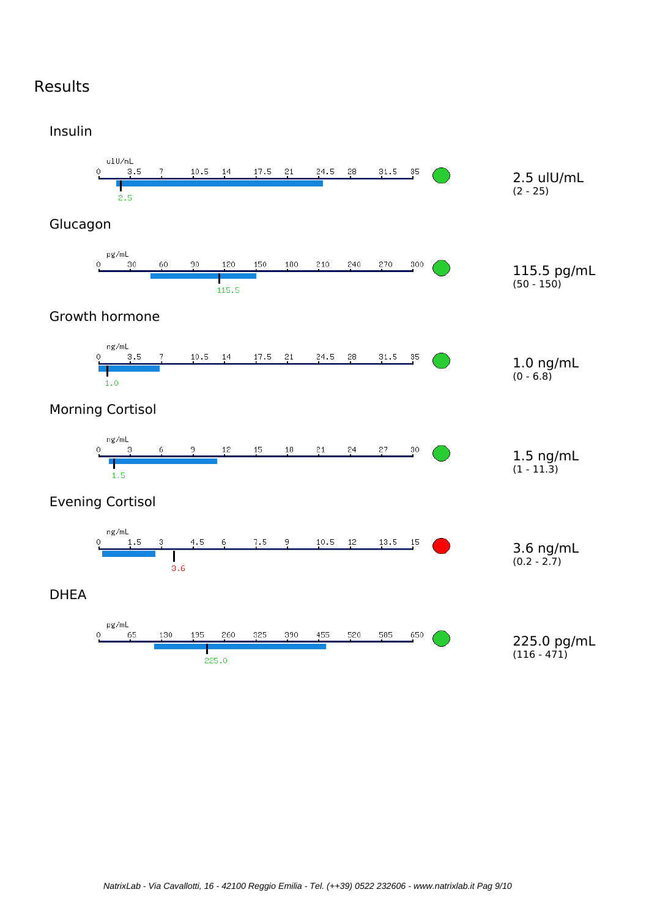# Results

Insulin